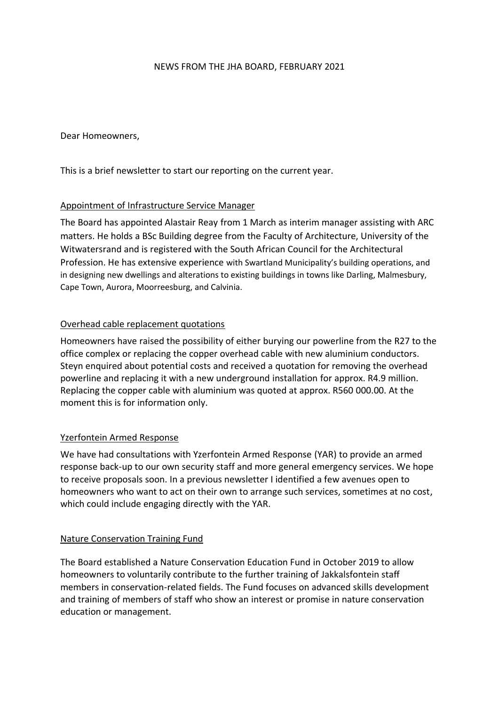### NEWS FROM THE JHA BOARD, FEBRUARY 2021

Dear Homeowners,

This is a brief newsletter to start our reporting on the current year.

# Appointment of Infrastructure Service Manager

The Board has appointed Alastair Reay from 1 March as interim manager assisting with ARC matters. He holds a BSc Building degree from the Faculty of Architecture, University of the Witwatersrand and is registered with the South African Council for the Architectural Profession. He has extensive experience with Swartland Municipality's building operations, and in designing new dwellings and alterations to existing buildings in towns like Darling, Malmesbury, Cape Town, Aurora, Moorreesburg, and Calvinia.

## Overhead cable replacement quotations

Homeowners have raised the possibility of either burying our powerline from the R27 to the office complex or replacing the copper overhead cable with new aluminium conductors. Steyn enquired about potential costs and received a quotation for removing the overhead powerline and replacing it with a new underground installation for approx. R4.9 million. Replacing the copper cable with aluminium was quoted at approx. R560 000.00. At the moment this is for information only.

### Yzerfontein Armed Response

We have had consultations with Yzerfontein Armed Response (YAR) to provide an armed response back-up to our own security staff and more general emergency services. We hope to receive proposals soon. In a previous newsletter I identified a few avenues open to homeowners who want to act on their own to arrange such services, sometimes at no cost, which could include engaging directly with the YAR.

### Nature Conservation Training Fund

The Board established a Nature Conservation Education Fund in October 2019 to allow homeowners to voluntarily contribute to the further training of Jakkalsfontein staff members in conservation-related fields. The Fund focuses on advanced skills development and training of members of staff who show an interest or promise in nature conservation education or management.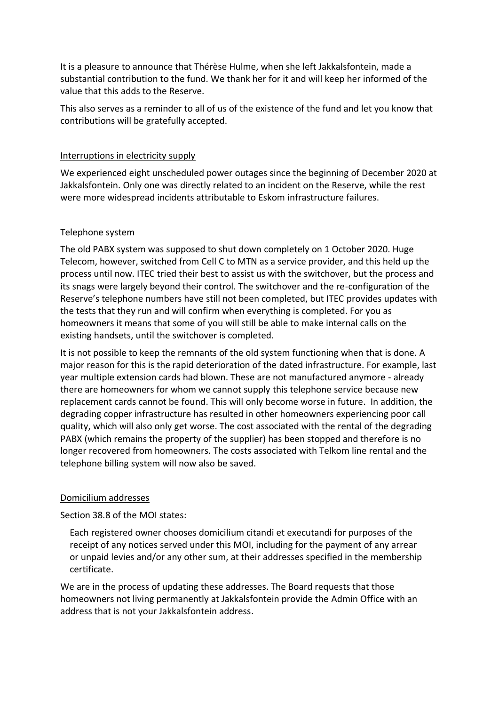It is a pleasure to announce that Thérèse Hulme, when she left Jakkalsfontein, made a substantial contribution to the fund. We thank her for it and will keep her informed of the value that this adds to the Reserve.

This also serves as a reminder to all of us of the existence of the fund and let you know that contributions will be gratefully accepted.

### Interruptions in electricity supply

We experienced eight unscheduled power outages since the beginning of December 2020 at Jakkalsfontein. Only one was directly related to an incident on the Reserve, while the rest were more widespread incidents attributable to Eskom infrastructure failures.

## Telephone system

The old PABX system was supposed to shut down completely on 1 October 2020. Huge Telecom, however, switched from Cell C to MTN as a service provider, and this held up the process until now. ITEC tried their best to assist us with the switchover, but the process and its snags were largely beyond their control. The switchover and the re-configuration of the Reserve's telephone numbers have still not been completed, but ITEC provides updates with the tests that they run and will confirm when everything is completed. For you as homeowners it means that some of you will still be able to make internal calls on the existing handsets, until the switchover is completed.

It is not possible to keep the remnants of the old system functioning when that is done. A major reason for this is the rapid deterioration of the dated infrastructure. For example, last year multiple extension cards had blown. These are not manufactured anymore - already there are homeowners for whom we cannot supply this telephone service because new replacement cards cannot be found. This will only become worse in future. In addition, the degrading copper infrastructure has resulted in other homeowners experiencing poor call quality, which will also only get worse. The cost associated with the rental of the degrading PABX (which remains the property of the supplier) has been stopped and therefore is no longer recovered from homeowners. The costs associated with Telkom line rental and the telephone billing system will now also be saved.

### Domicilium addresses

Section 38.8 of the MOI states:

Each registered owner chooses domicilium citandi et executandi for purposes of the receipt of any notices served under this MOI, including for the payment of any arrear or unpaid levies and/or any other sum, at their addresses specified in the membership certificate.

We are in the process of updating these addresses. The Board requests that those homeowners not living permanently at Jakkalsfontein provide the Admin Office with an address that is not your Jakkalsfontein address.